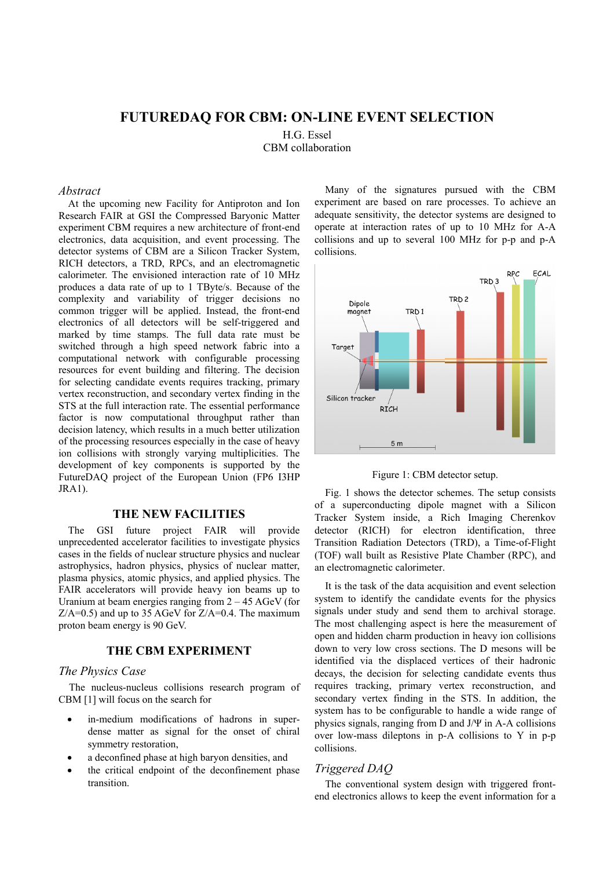# **FUTUREDAQ FOR CBM: ON-LINE EVENT SELECTION**

H.G. Essel CBM collaboration

#### *Abstract*

At the upcoming new Facility for Antiproton and Ion Research FAIR at GSI the Compressed Baryonic Matter experiment CBM requires a new architecture of front-end electronics, data acquisition, and event processing. The detector systems of CBM are a Silicon Tracker System, RICH detectors, a TRD, RPCs, and an electromagnetic calorimeter. The envisioned interaction rate of 10 MHz produces a data rate of up to 1 TByte/s. Because of the complexity and variability of trigger decisions no common trigger will be applied. Instead, the front-end electronics of all detectors will be self-triggered and marked by time stamps. The full data rate must be switched through a high speed network fabric into a computational network with configurable processing resources for event building and filtering. The decision for selecting candidate events requires tracking, primary vertex reconstruction, and secondary vertex finding in the STS at the full interaction rate. The essential performance factor is now computational throughput rather than decision latency, which results in a much better utilization of the processing resources especially in the case of heavy ion collisions with strongly varying multiplicities. The development of key components is supported by the FutureDAQ project of the European Union (FP6 I3HP JRA1).

## **THE NEW FACILITIES**

The GSI future project FAIR will provide unprecedented accelerator facilities to investigate physics cases in the fields of nuclear structure physics and nuclear astrophysics, hadron physics, physics of nuclear matter, plasma physics, atomic physics, and applied physics. The FAIR accelerators will provide heavy ion beams up to Uranium at beam energies ranging from 2 – 45 AGeV (for  $Z/A=0.5$ ) and up to 35 AGeV for  $Z/A=0.4$ . The maximum proton beam energy is 90 GeV.

# **THE CBM EXPERIMENT**

## *The Physics Case*

The nucleus-nucleus collisions research program of CBM [1] will focus on the search for

- in-medium modifications of hadrons in superdense matter as signal for the onset of chiral symmetry restoration,
- a deconfined phase at high baryon densities, and
- the critical endpoint of the deconfinement phase transition.

Many of the signatures pursued with the CBM experiment are based on rare processes. To achieve an adequate sensitivity, the detector systems are designed to operate at interaction rates of up to 10 MHz for A-A collisions and up to several 100 MHz for p-p and p-A collisions.



Figure 1: CBM detector setup.

Fig. 1 shows the detector schemes. The setup consists of a superconducting dipole magnet with a Silicon Tracker System inside, a Rich Imaging Cherenkov detector (RICH) for electron identification, three Transition Radiation Detectors (TRD), a Time-of-Flight (TOF) wall built as Resistive Plate Chamber (RPC), and an electromagnetic calorimeter.

It is the task of the data acquisition and event selection system to identify the candidate events for the physics signals under study and send them to archival storage. The most challenging aspect is here the measurement of open and hidden charm production in heavy ion collisions down to very low cross sections. The D mesons will be identified via the displaced vertices of their hadronic decays, the decision for selecting candidate events thus requires tracking, primary vertex reconstruction, and secondary vertex finding in the STS. In addition, the system has to be configurable to handle a wide range of physics signals, ranging from D and J/Ψ in A-A collisions over low-mass dileptons in p-A collisions to Y in p-p collisions.

# *Triggered DAQ*

The conventional system design with triggered frontend electronics allows to keep the event information for a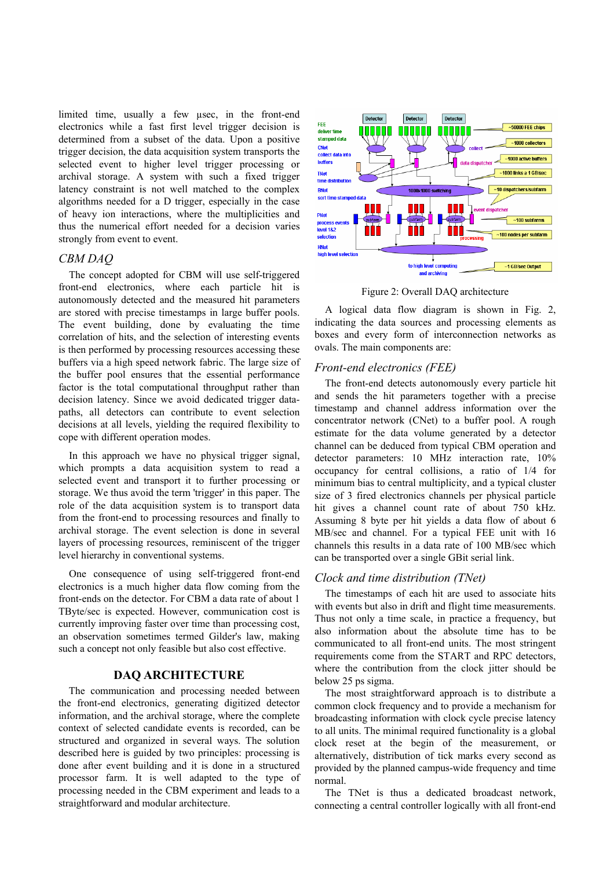limited time, usually a few µsec, in the front-end electronics while a fast first level trigger decision is determined from a subset of the data. Upon a positive trigger decision, the data acquisition system transports the selected event to higher level trigger processing or archival storage. A system with such a fixed trigger latency constraint is not well matched to the complex algorithms needed for a D trigger, especially in the case of heavy ion interactions, where the multiplicities and thus the numerical effort needed for a decision varies strongly from event to event.

## *CBM DAQ*

The concept adopted for CBM will use self-triggered front-end electronics, where each particle hit is autonomously detected and the measured hit parameters are stored with precise timestamps in large buffer pools. The event building, done by evaluating the time correlation of hits, and the selection of interesting events is then performed by processing resources accessing these buffers via a high speed network fabric. The large size of the buffer pool ensures that the essential performance factor is the total computational throughput rather than decision latency. Since we avoid dedicated trigger datapaths, all detectors can contribute to event selection decisions at all levels, yielding the required flexibility to cope with different operation modes.

In this approach we have no physical trigger signal, which prompts a data acquisition system to read a selected event and transport it to further processing or storage. We thus avoid the term 'trigger' in this paper. The role of the data acquisition system is to transport data from the front-end to processing resources and finally to archival storage. The event selection is done in several layers of processing resources, reminiscent of the trigger level hierarchy in conventional systems.

One consequence of using self-triggered front-end electronics is a much higher data flow coming from the front-ends on the detector. For CBM a data rate of about 1 TByte/sec is expected. However, communication cost is currently improving faster over time than processing cost, an observation sometimes termed Gilder's law, making such a concept not only feasible but also cost effective.

## **DAQ ARCHITECTURE**

The communication and processing needed between the front-end electronics, generating digitized detector information, and the archival storage, where the complete context of selected candidate events is recorded, can be structured and organized in several ways. The solution described here is guided by two principles: processing is done after event building and it is done in a structured processor farm. It is well adapted to the type of processing needed in the CBM experiment and leads to a straightforward and modular architecture.



Figure 2: Overall DAQ architecture

A logical data flow diagram is shown in Fig. 2, indicating the data sources and processing elements as boxes and every form of interconnection networks as ovals. The main components are:

## *Front-end electronics (FEE)*

The front-end detects autonomously every particle hit and sends the hit parameters together with a precise timestamp and channel address information over the concentrator network (CNet) to a buffer pool. A rough estimate for the data volume generated by a detector channel can be deduced from typical CBM operation and detector parameters: 10 MHz interaction rate, 10% occupancy for central collisions, a ratio of 1/4 for minimum bias to central multiplicity, and a typical cluster size of 3 fired electronics channels per physical particle hit gives a channel count rate of about 750 kHz. Assuming 8 byte per hit yields a data flow of about 6 MB/sec and channel. For a typical FEE unit with 16 channels this results in a data rate of 100 MB/sec which can be transported over a single GBit serial link.

## *Clock and time distribution (TNet)*

The timestamps of each hit are used to associate hits with events but also in drift and flight time measurements. Thus not only a time scale, in practice a frequency, but also information about the absolute time has to be communicated to all front-end units. The most stringent requirements come from the START and RPC detectors, where the contribution from the clock jitter should be below 25 ps sigma.

The most straightforward approach is to distribute a common clock frequency and to provide a mechanism for broadcasting information with clock cycle precise latency to all units. The minimal required functionality is a global clock reset at the begin of the measurement, or alternatively, distribution of tick marks every second as provided by the planned campus-wide frequency and time normal.

The TNet is thus a dedicated broadcast network, connecting a central controller logically with all front-end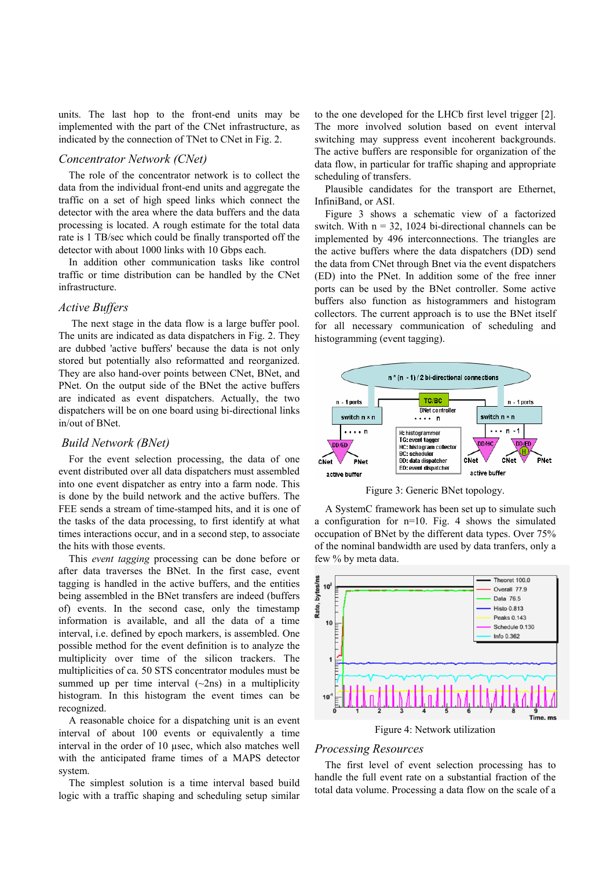units. The last hop to the front-end units may be implemented with the part of the CNet infrastructure, as indicated by the connection of TNet to CNet in Fig. 2.

## *Concentrator Network (CNet)*

The role of the concentrator network is to collect the data from the individual front-end units and aggregate the traffic on a set of high speed links which connect the detector with the area where the data buffers and the data processing is located. A rough estimate for the total data rate is 1 TB/sec which could be finally transported off the detector with about 1000 links with 10 Gbps each.

In addition other communication tasks like control traffic or time distribution can be handled by the CNet infrastructure.

### *Active Buffers*

 The next stage in the data flow is a large buffer pool. The units are indicated as data dispatchers in Fig. 2. They are dubbed 'active buffers' because the data is not only stored but potentially also reformatted and reorganized. They are also hand-over points between CNet, BNet, and PNet. On the output side of the BNet the active buffers are indicated as event dispatchers. Actually, the two dispatchers will be on one board using bi-directional links in/out of BNet.

## *Build Network (BNet)*

For the event selection processing, the data of one event distributed over all data dispatchers must assembled into one event dispatcher as entry into a farm node. This is done by the build network and the active buffers. The FEE sends a stream of time-stamped hits, and it is one of the tasks of the data processing, to first identify at what times interactions occur, and in a second step, to associate the hits with those events.

This *event tagging* processing can be done before or after data traverses the BNet. In the first case, event tagging is handled in the active buffers, and the entities being assembled in the BNet transfers are indeed (buffers of) events. In the second case, only the timestamp information is available, and all the data of a time interval, i.e. defined by epoch markers, is assembled. One possible method for the event definition is to analyze the multiplicity over time of the silicon trackers. The multiplicities of ca. 50 STS concentrator modules must be summed up per time interval  $(\sim 2 \text{ns})$  in a multiplicity histogram. In this histogram the event times can be recognized.

A reasonable choice for a dispatching unit is an event interval of about 100 events or equivalently a time interval in the order of 10 µsec, which also matches well with the anticipated frame times of a MAPS detector system.

The simplest solution is a time interval based build logic with a traffic shaping and scheduling setup similar to the one developed for the LHCb first level trigger [2]. The more involved solution based on event interval switching may suppress event incoherent backgrounds. The active buffers are responsible for organization of the data flow, in particular for traffic shaping and appropriate scheduling of transfers.

Plausible candidates for the transport are Ethernet, InfiniBand, or ASI.

Figure 3 shows a schematic view of a factorized switch. With  $n = 32$ , 1024 bi-directional channels can be implemented by 496 interconnections. The triangles are the active buffers where the data dispatchers (DD) send the data from CNet through Bnet via the event dispatchers (ED) into the PNet. In addition some of the free inner ports can be used by the BNet controller. Some active buffers also function as histogrammers and histogram collectors. The current approach is to use the BNet itself for all necessary communication of scheduling and histogramming (event tagging).



Figure 3: Generic BNet topology.

A SystemC framework has been set up to simulate such a configuration for n=10. Fig. 4 shows the simulated occupation of BNet by the different data types. Over 75% of the nominal bandwidth are used by data tranfers, only a few % by meta data.



# *Processing Resources*

The first level of event selection processing has to handle the full event rate on a substantial fraction of the total data volume. Processing a data flow on the scale of a